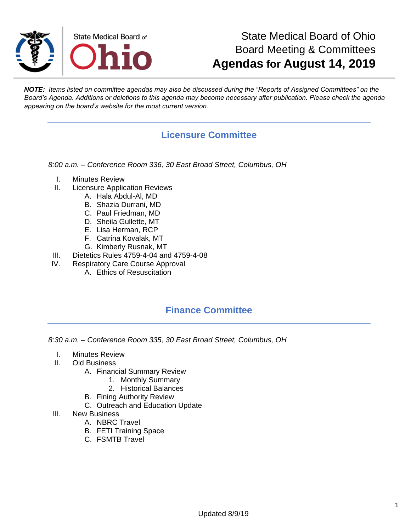

## State Medical Board of Ohio Board Meeting & Committees **Agendas for August 14, 2019**

*NOTE: Items listed on committee agendas may also be discussed during the "Reports of Assigned Committees" on the Board's Agenda. Additions or deletions to this agenda may become necessary after publication. Please check the agenda appearing on the board's website for the most current version.*

#### **Licensure Committee**

*8:00 a.m. – Conference Room 336, 30 East Broad Street, Columbus, OH*

- I. Minutes Review
- II. Licensure Application Reviews
	- A. Hala Abdul-Al, MD
	- B. Shazia Durrani, MD
	- C. Paul Friedman, MD
	- D. Sheila Gullette, MT
	- E. Lisa Herman, RCP
	- F. Catrina Kovalak, MT
	- G. Kimberly Rusnak, MT
- III. Dietetics Rules 4759-4-04 and 4759-4-08
- IV. Respiratory Care Course Approval
	- A. Ethics of Resuscitation

#### **Finance Committee**

*8:30 a.m. – Conference Room 335, 30 East Broad Street, Columbus, OH*

- I. Minutes Review
- II. Old Business
	- A. Financial Summary Review
		- 1. Monthly Summary
		- 2. Historical Balances
	- B. Fining Authority Review
	- C. Outreach and Education Update
- III. New Business
	- A. NBRC Travel
	- B. FETI Training Space
	- C. FSMTB Travel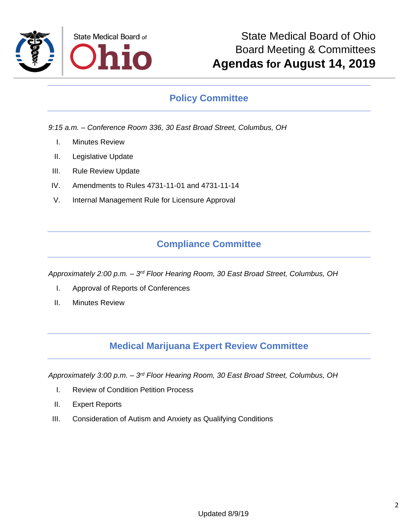

### **Policy Committee**

*9:15 a.m. – Conference Room 336, 30 East Broad Street, Columbus, OH*

- I. Minutes Review
- II. Legislative Update
- III. Rule Review Update
- IV. Amendments to Rules 4731-11-01 and 4731-11-14
- V. Internal Management Rule for Licensure Approval

#### **Compliance Committee**

*Approximately 2:00 p.m. – 3 rd Floor Hearing Room, 30 East Broad Street, Columbus, OH*

- I. Approval of Reports of Conferences
- II. Minutes Review

#### **Medical Marijuana Expert Review Committee**

Approximately 3:00 p.m. – 3<sup>rd</sup> Floor Hearing Room, 30 East Broad Street, Columbus, OH

- I. Review of Condition Petition Process
- II. Expert Reports
- III. Consideration of Autism and Anxiety as Qualifying Conditions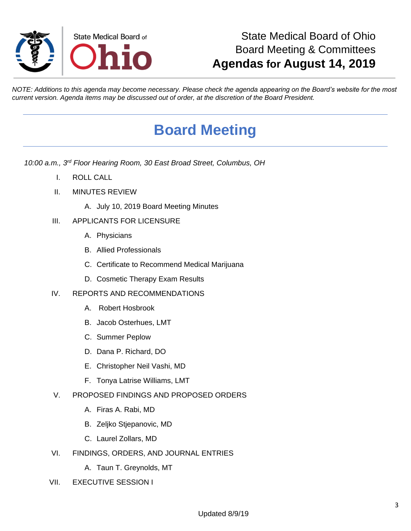

## State Medical Board of Ohio Board Meeting & Committees **Agendas for August 14, 2019**

*NOTE: Additions to this agenda may become necessary. Please check the agenda appearing on the Board's website for the most current version. Agenda items may be discussed out of order, at the discretion of the Board President.*

# **Board Meeting**

*10:00 a.m., 3rd Floor Hearing Room, 30 East Broad Street, Columbus, OH*

- I. ROLL CALL
- II. MINUTES REVIEW
	- A. July 10, 2019 Board Meeting Minutes

#### III. APPLICANTS FOR LICENSURE

- A. Physicians
- B. Allied Professionals
- C. Certificate to Recommend Medical Marijuana
- D. Cosmetic Therapy Exam Results
- IV. REPORTS AND RECOMMENDATIONS
	- A. Robert Hosbrook
	- B. Jacob Osterhues, LMT
	- C. Summer Peplow
	- D. Dana P. Richard, DO
	- E. Christopher Neil Vashi, MD
	- F. Tonya Latrise Williams, LMT
- V. PROPOSED FINDINGS AND PROPOSED ORDERS
	- A. Firas A. Rabi, MD
	- B. Zeljko Stjepanovic, MD
	- C. Laurel Zollars, MD
- VI. FINDINGS, ORDERS, AND JOURNAL ENTRIES
	- A. Taun T. Greynolds, MT
- VII. EXECUTIVE SESSION I